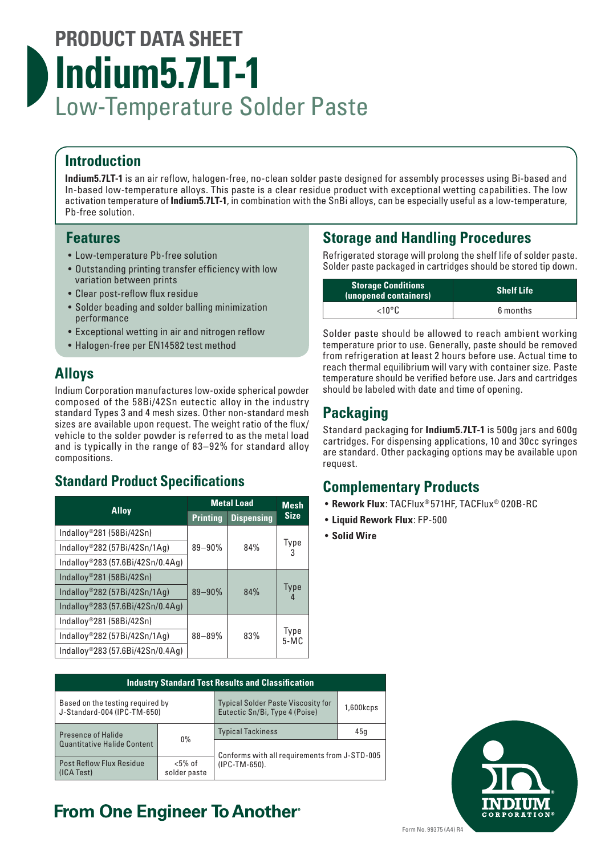# **PRODUCT DATA SHEET Indium5.7LT-1** Low-Temperature Solder Paste

#### **Introduction**

**Indium5.7LT-1** is an air reflow, halogen-free, no-clean solder paste designed for assembly processes using Bi-based and In-based low-temperature alloys. This paste is a clear residue product with exceptional wetting capabilities. The low activation temperature of **Indium5.7LT-1**, in combination with the SnBi alloys, can be especially useful as a low-temperature, Pb-free solution.

#### **Features**

- Low-temperature Pb-free solution
- Outstanding printing transfer efficiency with low variation between prints
- Clear post-reflow flux residue
- Solder beading and solder balling minimization performance
- Exceptional wetting in air and nitrogen reflow
- Halogen-free per EN14582 test method

## **Alloys**

Indium Corporation manufactures low-oxide spherical powder composed of the 58Bi/42Sn eutectic alloy in the industry standard Types 3 and 4 mesh sizes. Other non-standard mesh sizes are available upon request. The weight ratio of the flux/ vehicle to the solder powder is referred to as the metal load and is typically in the range of 83–92% for standard alloy compositions.

## **Standard Product Specifications**

| <b>Alloy</b>                     | <b>Metal Load</b> |                   | <b>Mesh</b>    |
|----------------------------------|-------------------|-------------------|----------------|
|                                  | <b>Printing</b>   | <b>Dispensing</b> | <b>Size</b>    |
| Indalloy®281 (58Bi/42Sn)         |                   |                   |                |
| Indalloy®282 (57Bi/42Sn/1Ag)     | $89 - 90%$        | 84%               | Туре           |
| Indalloy®283 (57.6Bi/42Sn/0.4Ag) |                   |                   |                |
| Indalloy®281 (58Bi/42Sn)         |                   |                   |                |
| Indalloy®282 (57Bi/42Sn/1Ag)     | 89-90%            | 84%               | <b>Type</b>    |
| Indalloy®283 (57.6Bi/42Sn/0.4Ag) |                   |                   |                |
| Indalloy®281 (58Bi/42Sn)         |                   |                   |                |
| Indalloy®282 (57Bi/42Sn/1Ag)     | $88 - 89%$        | 83%               | Type<br>$5-MC$ |
| Indalloy®283 (57.6Bi/42Sn/0.4Ag) |                   |                   |                |

|                                                                 | <b>Industry Standard Test Results and Classification</b> |                                                                             |                          |     |  |
|-----------------------------------------------------------------|----------------------------------------------------------|-----------------------------------------------------------------------------|--------------------------|-----|--|
| Based on the testing required by<br>J-Standard-004 (IPC-TM-650) |                                                          | <b>Typical Solder Paste Viscosity for</b><br>Eutectic Sn/Bi, Type 4 (Poise) | $1,600k$ cps             |     |  |
|                                                                 | <b>Presence of Halide</b>                                | $0\%$                                                                       | <b>Typical Tackiness</b> | 45q |  |
| <b>Quantitative Halide Content</b>                              |                                                          | Conforms with all requirements from J-STD-005                               |                          |     |  |
|                                                                 | <b>Post Reflow Flux Residue</b><br>(ICA Test)            | $< 5\%$ of<br>solder paste                                                  | (IPC-TM-650).            |     |  |

## **From One Engineer To Another**®

## **Storage and Handling Procedures**

Refrigerated storage will prolong the shelf life of solder paste. Solder paste packaged in cartridges should be stored tip down.

| <b>Storage Conditions</b><br>(unopened containers) | <b>Shelf Life</b> |
|----------------------------------------------------|-------------------|
| $<$ 10°C                                           | 6 months          |

Solder paste should be allowed to reach ambient working temperature prior to use. Generally, paste should be removed from refrigeration at least 2 hours before use. Actual time to reach thermal equilibrium will vary with container size. Paste temperature should be verified before use. Jars and cartridges should be labeled with date and time of opening.

## **Packaging**

Standard packaging for **Indium5.7LT-1** is 500g jars and 600g cartridges. For dispensing applications, 10 and 30cc syringes are standard. Other packaging options may be available upon request.

## **Complementary Products**

- **Rework Flux**: TACFlux® 571HF, TACFlux® 020B-RC
- **Liquid Rework Flux**: FP-500
- **Solid Wire**